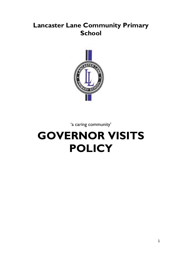## **Lancaster Lane Community Primary School**



'a caring community'

# **GOVERNOR VISITS POLICY**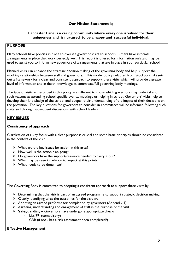#### **Our Mission Statement is;**

#### **Lancaster Lane is a caring community where every one is valued for their uniqueness and is nurtured to be a happy and successful individual.**

#### **PURPOSE**

Many schools have policies in place to oversee governor visits to schools. Others have informal arrangements in place that work perfectly well. This report is offered for information only and may be used to assist you to inform new governors of arrangements that are in place in your particular school.

Planned visits can enhance the strategic decision making of the governing body and help support the working relationships between staff and governors. This model policy (adapted from Stockport LA) sets out a framework for a clear and consistent approach to support these visits which will provide a greater level of information and in depth knowledge at committee/full governing body meetings.

The type of visits as described in this policy are different to those which governors may undertake for such reasons as attending school specific events, meetings or helping in school. Governors' visits help to develop their knowledge of the school and deepen their understanding of the impact of their decisions on the provision. The key questions for governors to consider in committees will be informed following such visits and through subsequent discussions with school leaders.

#### **KEY ISSUES**

#### **Consistency of approach**

Clarification of a key focus with a clear purpose is crucial and some basic principles should be considered in the context of the visit.

- $\triangleright$  What are the key issues for action in this area?
- $\triangleright$  How well is the action plan going?
- $\triangleright$  Do governors have the support/resource needed to carry it out?
- $\triangleright$  What may be seen in relation to impact at this point?
- $\triangleright$  What needs to be done next?

The Governing Body is committed to adopting a consistent approach to support these visits by:

- $\triangleright$  Determining that the visit is part of an agreed programme to support strategic decision making.
- $\triangleright$  Clearly identifying what the outcomes for the visit are.
- Adopting an agreed proforma for completion by governors (Appendix 1).
- $\triangleright$  Agreeing, understanding and engagement of staff in the purpose of the visit.
- **Safeguarding** Governors have undergone appropriate checks
	- List 99 (compulsory)
	- CRB (if not has a risk assessment been completed?)

#### **Effective Management**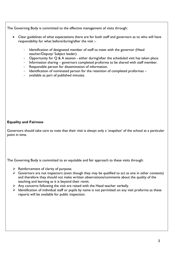The Governing Body is committed to the effective management of visits through:

- Clear guidelines of what expectations there are for both staff and governors as to who will have responsibility for what before/during/after the visit :-
	- Identification of designated member of staff to meet with the governor (Head teacher/Deputy/ Subject leader).
	- Opportunity for  $Q$  & A session either during/after the scheduled visit has taken place.
	- Information sharing governors completed proforma to be shared with staff member.
	- Responsible person for dissemination of information.
	- Identification of nominated person for the retention of completed proformas -
	- available as part of published minutes.

#### **Equality and Fairness**

Governors should take care to note that their visit is always only a 'snapshot' of the school at a particular point in time.

The Governing Body is committed to an equitable and fair approach to these visits through:

- $\triangleright$  Reinforcement of clarity of purpose.
- $\triangleright$  Governors are not inspectors (even though they may be qualified to act as one in other contexts) and therefore they should not make written observations/comments about the quality of the teaching and learning as it is beyond their remit.
- $\triangleright$  Any concerns following the visit are raised with the Head teacher verbally.
- $\triangleright$  Identification of individual staff or pupils by name is not permitted on any visit proforma as these reports will be available for public inspection.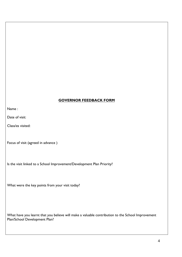### **GOVERNOR FEEDBACK FORM**

Name :

Date of visit:

Class/es visited:

Focus of visit (agreed in advance )

Is the visit linked to a School Improvement/Development Plan Priority?

What were the key points from your visit today?

What have you learnt that you believe will make a valuable contribution to the School Improvement Plan/School Development Plan?